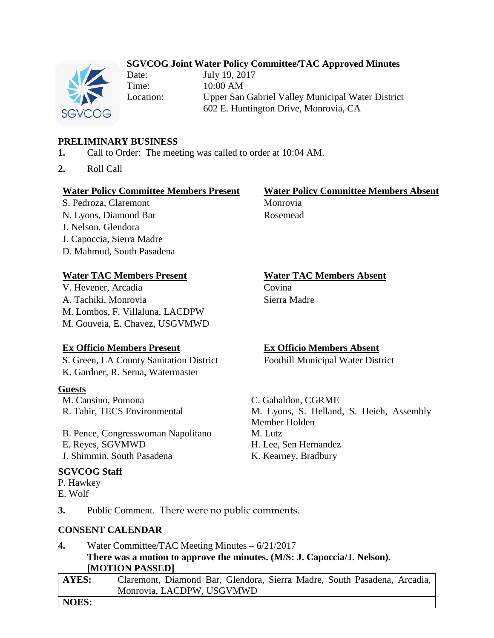# **SGVCOG Joint Water Policy Committee/TAC Approved Minutes**



Date: July 19, 2017 Time: 10:00 AM Location: Upper San Gabriel Valley Municipal Water District 602 E. Huntington Drive, Monrovia, CA

# **PRELIMINARY BUSINESS**

- **1.** Call to Order: The meeting was called to order at 10:04 AM.
- **2.** Roll Call

## **Water Policy Committee Members Present Water Policy Committee Members Absent**

S. Pedroza, Claremont Monrovia N. Lyons, Diamond Bar Rosemead J. Nelson, Glendora J. Capoccia, Sierra Madre D. Mahmud, South Pasadena

## **Water TAC Members Present Water TAC Members Absent**

V. Hevener, Arcadia Covina A. Tachiki, Monrovia Sierra Madre M. Lombos, F. Villaluna, LACDPW M. Gouveia, E. Chavez, USGVMWD

S. Green, LA County Sanitation District Foothill Municipal Water District K. Gardner, R. Serna, Watermaster

## **Guests**

M. Cansino, Pomona C. Gabaldon, CGRME

B. Pence, Congresswoman Napolitano M. Lutz E. Reyes, SGVMWD H. Lee, Sen Hernandez J. Shimmin, South Pasadena K. Kearney, Bradbury

## **SGVCOG Staff**

P. Hawkey

E. Wolf

**Ex Officio Members Present Ex Officio Members Absent**

R. Tahir, TECS Environmental M. Lyons, S. Helland, S. Heieh, Assembly Member Holden

**3.** Public Comment. There were no public comments.

## **CONSENT CALENDAR**

**4.** Water Committee/TAC Meeting Minutes – 6/21/2017 **There was a motion to approve the minutes. (M/S: J. Capoccia/J. Nelson). [MOTION PASSED]**

| AYES: | Claremont, Diamond Bar, Glendora, Sierra Madre, South Pasadena, Arcadia, |
|-------|--------------------------------------------------------------------------|
|       | Monrovia, LACDPW, USGVMWD                                                |
| NOES: |                                                                          |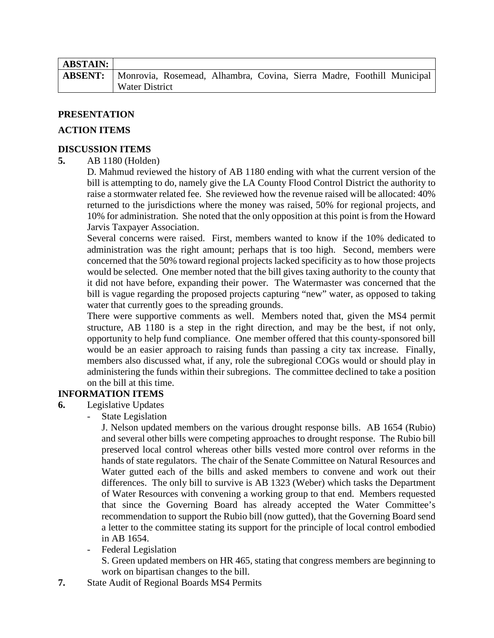| <b>ABSTAIN:</b>                                                                       |                |  |  |  |  |  |  |  |  |
|---------------------------------------------------------------------------------------|----------------|--|--|--|--|--|--|--|--|
| <b>ABSENT:</b> Monrovia, Rosemead, Alhambra, Covina, Sierra Madre, Foothill Municipal |                |  |  |  |  |  |  |  |  |
|                                                                                       | Water District |  |  |  |  |  |  |  |  |

# **PRESENTATION**

## **ACTION ITEMS**

# **DISCUSSION ITEMS**

# **5.** AB 1180 (Holden)

D. Mahmud reviewed the history of AB 1180 ending with what the current version of the bill is attempting to do, namely give the LA County Flood Control District the authority to raise a stormwater related fee. She reviewed how the revenue raised will be allocated: 40% returned to the jurisdictions where the money was raised, 50% for regional projects, and 10% for administration. She noted that the only opposition at this point is from the Howard Jarvis Taxpayer Association.

Several concerns were raised. First, members wanted to know if the 10% dedicated to administration was the right amount; perhaps that is too high. Second, members were concerned that the 50% toward regional projects lacked specificity as to how those projects would be selected. One member noted that the bill gives taxing authority to the county that it did not have before, expanding their power. The Watermaster was concerned that the bill is vague regarding the proposed projects capturing "new" water, as opposed to taking water that currently goes to the spreading grounds.

There were supportive comments as well. Members noted that, given the MS4 permit structure, AB 1180 is a step in the right direction, and may be the best, if not only, opportunity to help fund compliance. One member offered that this county-sponsored bill would be an easier approach to raising funds than passing a city tax increase. Finally, members also discussed what, if any, role the subregional COGs would or should play in administering the funds within their subregions. The committee declined to take a position on the bill at this time.

# **INFORMATION ITEMS**

- **6.** Legislative Updates
	- State Legislation

J. Nelson updated members on the various drought response bills. AB 1654 (Rubio) and several other bills were competing approaches to drought response. The Rubio bill preserved local control whereas other bills vested more control over reforms in the hands of state regulators. The chair of the Senate Committee on Natural Resources and Water gutted each of the bills and asked members to convene and work out their differences. The only bill to survive is AB 1323 (Weber) which tasks the Department of Water Resources with convening a working group to that end. Members requested that since the Governing Board has already accepted the Water Committee's recommendation to support the Rubio bill (now gutted), that the Governing Board send a letter to the committee stating its support for the principle of local control embodied in AB 1654.

Federal Legislation

S. Green updated members on HR 465, stating that congress members are beginning to work on bipartisan changes to the bill.

**7.** State Audit of Regional Boards MS4 Permits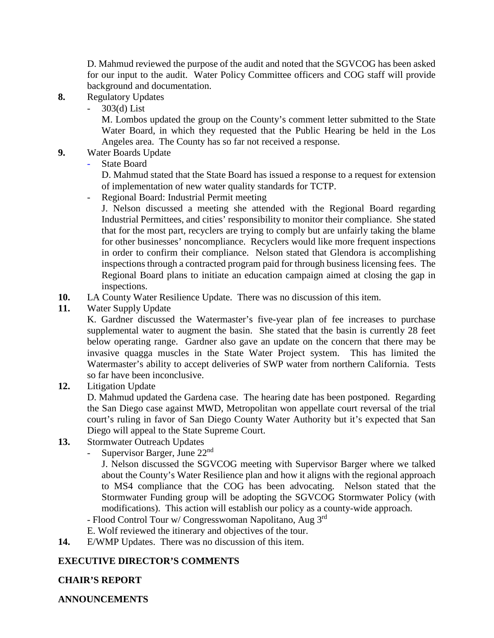D. Mahmud reviewed the purpose of the audit and noted that the SGVCOG has been asked for our input to the audit. Water Policy Committee officers and COG staff will provide background and documentation.

- **8.** Regulatory Updates
	- 303(d) List

M. Lombos updated the group on the County's comment letter submitted to the State Water Board, in which they requested that the Public Hearing be held in the Los Angeles area. The County has so far not received a response.

- **9.** Water Boards Update
	- State Board

D. Mahmud stated that the State Board has issued a response to a request for extension of implementation of new water quality standards for TCTP.

- Regional Board: Industrial Permit meeting

J. Nelson discussed a meeting she attended with the Regional Board regarding Industrial Permittees, and cities' responsibility to monitor their compliance. She stated that for the most part, recyclers are trying to comply but are unfairly taking the blame for other businesses' noncompliance. Recyclers would like more frequent inspections in order to confirm their compliance. Nelson stated that Glendora is accomplishing inspections through a contracted program paid for through business licensing fees. The Regional Board plans to initiate an education campaign aimed at closing the gap in inspections.

- **10.** LA County Water Resilience Update. There was no discussion of this item.
- **11.** Water Supply Update

K. Gardner discussed the Watermaster's five-year plan of fee increases to purchase supplemental water to augment the basin. She stated that the basin is currently 28 feet below operating range. Gardner also gave an update on the concern that there may be invasive quagga muscles in the State Water Project system. This has limited the Watermaster's ability to accept deliveries of SWP water from northern California. Tests so far have been inconclusive.

**12.** Litigation Update

D. Mahmud updated the Gardena case. The hearing date has been postponed. Regarding the San Diego case against MWD, Metropolitan won appellate court reversal of the trial court's ruling in favor of San Diego County Water Authority but it's expected that San Diego will appeal to the State Supreme Court.

- **13.** Stormwater Outreach Updates
	- Supervisor Barger, June 22<sup>nd</sup>

J. Nelson discussed the SGVCOG meeting with Supervisor Barger where we talked about the County's Water Resilience plan and how it aligns with the regional approach to MS4 compliance that the COG has been advocating. Nelson stated that the Stormwater Funding group will be adopting the SGVCOG Stormwater Policy (with modifications). This action will establish our policy as a county-wide approach.

- Flood Control Tour w/ Congresswoman Napolitano, Aug 3rd

- E. Wolf reviewed the itinerary and objectives of the tour.
- **14.** E/WMP Updates. There was no discussion of this item.

# **EXECUTIVE DIRECTOR'S COMMENTS**

# **CHAIR'S REPORT**

**ANNOUNCEMENTS**